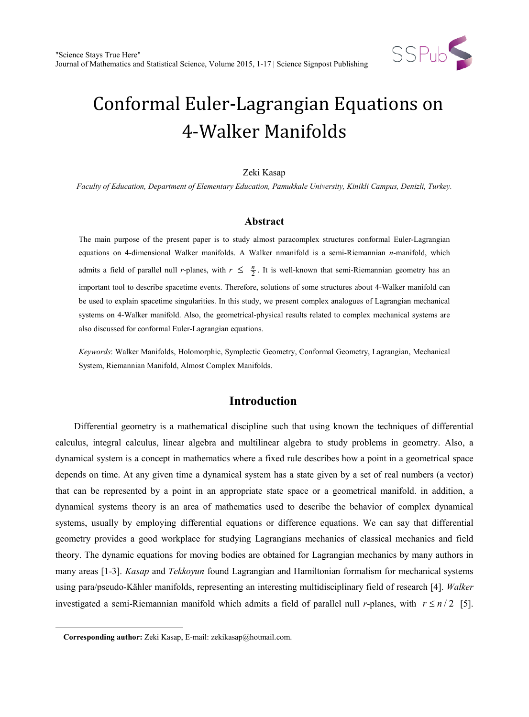

# Conformal Euler-Lagrangian Equations on 4-Walker Manifolds

#### Zeki Kasap

*Faculty of Education, Department of Elementary Education, Pamukkale University, Kinikli Campus, Denizli, Turkey.*

#### **Abstract**

The main purpose of the present paper is to study almost paracomplex structures conformal Euler-Lagrangian equations on 4-dimensional Walker manifolds. A Walker nmanifold is a semi-Riemannian *n*-manifold, which admits a field of parallel null *r*-planes, with  $r \leq \frac{n}{2}$ . It is well-known that semi-Riemannian geometry has an important tool to describe spacetime events. Therefore, solutions of some structures about 4-Walker manifold can be used to explain spacetime singularities. In this study, we present complex analogues of Lagrangian mechanical systems on 4-Walker manifold. Also, the geometrical-physical results related to complex mechanical systems are also discussed for conformal Euler-Lagrangian equations.

*Keywords*: Walker Manifolds, Holomorphic, Symplectic Geometry, Conformal Geometry, Lagrangian, Mechanical System, Riemannian Manifold, Almost Complex Manifolds.

# **Introduction**

Differential geometry is a mathematical discipline such that using known the techniques of differential calculus, integral calculus, linear algebra and multilinear algebra to study problems in geometry. Also, a dynamical system is a concept in mathematics where a fixed rule describes how a point in a geometrical space depends on time. At any given time a dynamical system has a state given by a set of real numbers (a vector) that can be represented by a point in an appropriate state space or a geometrical manifold. in addition, a dynamical systems theory is an area of mathematics used to describe the behavior of complex dynamical systems, usually by employing differential equations or difference equations. We can say that differential geometry provides a good workplace for studying Lagrangians mechanics of classical mechanics and field theory. The dynamic equations for moving bodies are obtained for Lagrangian mechanics by many authors in many areas [1-3]. *Kasap* and *Tekkoyun* found Lagrangian and Hamiltonian formalism for mechanical systems using para/pseudo-Kähler manifolds, representing an interesting multidisciplinary field of research [4]. *Walker* investigated a semi-Riemannian manifold which admits a field of parallel null *r*-planes, with  $r \le n/2$  [5].

<span id="page-0-0"></span> $\ddot{ }$ 

**Corresponding author:** Zeki Kasap, E-mail: zekikasap@hotmail.com.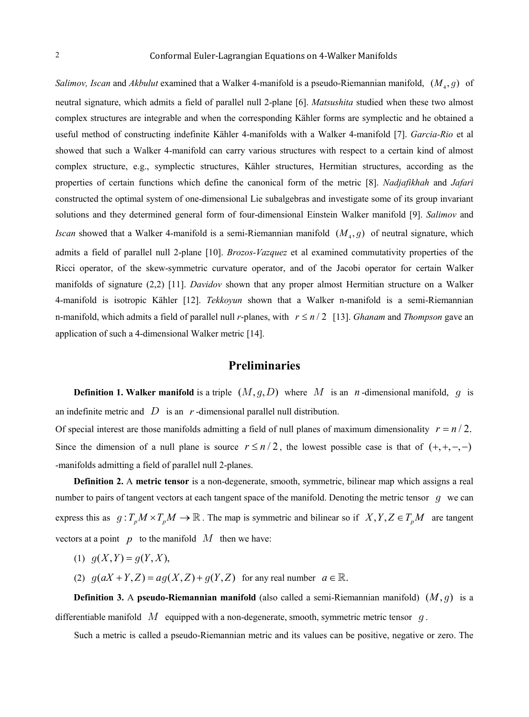*Salimov, Iscan* and *Akbulut* examined that a Walker 4-manifold is a pseudo-Riemannian manifold,  $(M_4, g)$  of neutral signature, which admits a field of parallel null 2-plane [6]. *Matsushita* studied when these two almost complex structures are integrable and when the corresponding Kähler forms are symplectic and he obtained a useful method of constructing indefinite Kähler 4-manifolds with a Walker 4-manifold [7]. *Garcia-Rio* et al showed that such a Walker 4-manifold can carry various structures with respect to a certain kind of almost complex structure, e.g., symplectic structures, Kähler structures, Hermitian structures, according as the properties of certain functions which define the canonical form of the metric [8]. *Nadjafikhah* and *Jafari*  constructed the optimal system of one-dimensional Lie subalgebras and investigate some of its group invariant solutions and they determined general form of four-dimensional Einstein Walker manifold [9]. *Salimov* and *Iscan* showed that a Walker 4-manifold is a semi-Riemannian manifold  $(M_4, g)$  of neutral signature, which admits a field of parallel null 2-plane [10]. *Brozos-Vazquez* et al examined commutativity properties of the Ricci operator, of the skew-symmetric curvature operator, and of the Jacobi operator for certain Walker manifolds of signature (2,2) [11]. *Davidov* shown that any proper almost Hermitian structure on a Walker 4-manifold is isotropic Kähler [12]. *Tekkoyun* shown that a Walker n-manifold is a semi-Riemannian n-manifold, which admits a field of parallel null *r*-planes, with  $r \le n/2$  [13]. *Ghanam* and *Thompson* gave an application of such a 4-dimensional Walker metric [14].

# **Preliminaries**

**Definition 1. Walker manifold** is a triple  $(M, g, D)$  where M is an *n*-dimensional manifold, g is an indefinite metric and  $D$  is an  $r$ -dimensional parallel null distribution.

Of special interest are those manifolds admitting a field of null planes of maximum dimensionality  $r = n/2$ . Since the dimension of a null plane is source  $r \le n/2$ , the lowest possible case is that of  $(+, +, -, -)$ -manifolds admitting a field of parallel null 2-planes.

**Definition 2.** A **metric tensor** is a non-degenerate, smooth, symmetric, bilinear map which assigns a real number to pairs of tangent vectors at each tangent space of the manifold. Denoting the metric tensor  $q$  we can express this as  $g: T_p M \times T_p M \to \mathbb{R}$ . The map is symmetric and bilinear so if  $X, Y, Z \in T_p M$  are tangent vectors at a point  $p$  to the manifold  $M$  then we have:

- (1)  $q(X, Y) = q(Y, X)$ ,
- (2)  $g(aX+Y, Z) = ag(X, Z) + g(Y, Z)$  for any real number  $a \in \mathbb{R}$ .

**Definition 3.** A **pseudo-Riemannian manifold** (also called a semi-Riemannian manifold)  $(M, g)$  is a differentiable manifold  $M$  equipped with a non-degenerate, smooth, symmetric metric tensor  $q$ .

Such a metric is called a pseudo-Riemannian metric and its values can be positive, negative or zero. The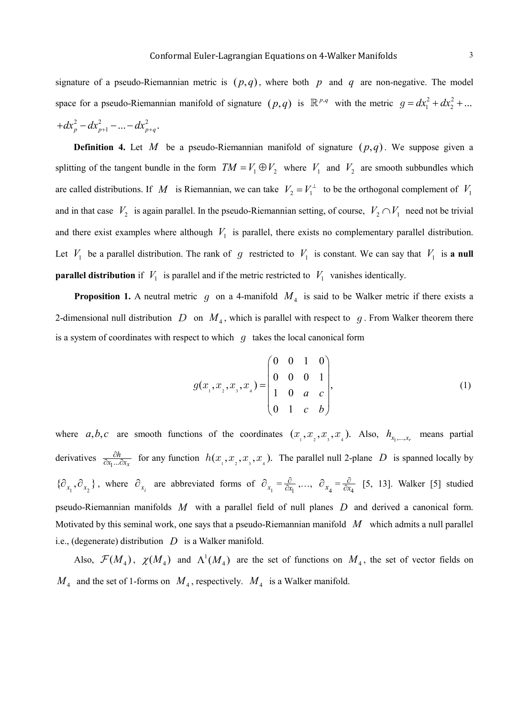signature of a pseudo-Riemannian metric is  $(p,q)$ , where both p and q are non-negative. The model space for a pseudo-Riemannian manifold of signature  $(p,q)$  is  $\mathbb{R}^{p,q}$  with the metric  $g = dx_1^2 + dx_2^2 + ...$  $+dx_p^2 - dx_{p+1}^2 - ... - dx_{p+q}^2$ .

**Definition 4.** Let *M* be a pseudo-Riemannian manifold of signature  $(p,q)$ . We suppose given a splitting of the tangent bundle in the form  $TM = V_1 \oplus V_2$  where  $V_1$  and  $V_2$  are smooth subbundles which are called distributions. If *M* is Riemannian, we can take  $V_2 = V_1^{\perp}$  to be the orthogonal complement of  $V_1$ and in that case  $V_2$  is again parallel. In the pseudo-Riemannian setting, of course,  $V_2 \cap V_1$  need not be trivial and there exist examples where although  $V_1$  is parallel, there exists no complementary parallel distribution. Let  $V_1$  be a parallel distribution. The rank of  $g$  restricted to  $V_1$  is constant. We can say that  $V_1$  is **a null parallel distribution** if  $V_1$  is parallel and if the metric restricted to  $V_1$  vanishes identically.

**Proposition 1.** A neutral metric  $g$  on a 4-manifold  $M_4$  is said to be Walker metric if there exists a 2-dimensional null distribution  $D$  on  $M<sub>4</sub>$ , which is parallel with respect to  $g$ . From Walker theorem there is a system of coordinates with respect to which  $q$  takes the local canonical form

$$
g(x_1, x_2, x_3, x_4) = \begin{pmatrix} 0 & 0 & 1 & 0 \\ 0 & 0 & 0 & 1 \\ 1 & 0 & a & c \\ 0 & 1 & c & b \end{pmatrix},
$$
 (1)

where  $a, b, c$  are smooth functions of the coordinates  $(x_1, x_2, x_3, x_4)$ . Also,  $h_{x_1,...,x_r}$  means partial derivatives  $\frac{\partial h}{\partial x_1...\partial x_k}$  for any function  $h(x_1, x_2, x_3, x_4)$ . The parallel null 2-plane *D* is spanned locally by  $\{\hat{\theta}_{x_1}, \hat{\theta}_{x_2}\}\$ , where  $\hat{\theta}_{x_i}$  are abbreviated forms of  $\hat{\theta}_{x_1} = \frac{\hat{\theta}}{\hat{\theta}_{x_1}}\dots$ ,  $\hat{\theta}_{x_4} = \frac{\hat{\theta}}{\hat{\theta}_{x_4}}$  [5, 13]. Walker [5] studied pseudo-Riemannian manifolds *M* with a parallel field of null planes *D* and derived a canonical form. Motivated by this seminal work, one says that a pseudo-Riemannian manifold *M* which admits a null parallel i.e., (degenerate) distribution *D* is a Walker manifold.

Also,  $\mathcal{F}(M_4)$ ,  $\chi(M_4)$  and  $\Lambda^1(M_4)$  are the set of functions on  $M_4$ , the set of vector fields on  $M_4$  and the set of 1-forms on  $M_4$ , respectively.  $M_4$  is a Walker manifold.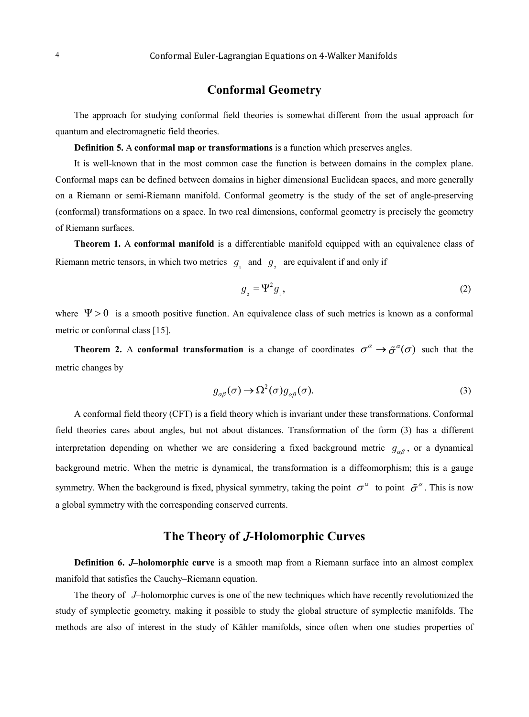## **Conformal Geometry**

The approach for studying conformal field theories is somewhat different from the usual approach for quantum and electromagnetic field theories.

**Definition 5.** A **conformal map or transformations** is a function which preserves angles.

It is well-known that in the most common case the function is between domains in the complex plane. Conformal maps can be defined between domains in higher dimensional Euclidean spaces, and more generally on a Riemann or semi-Riemann manifold. Conformal geometry is the study of the set of angle-preserving (conformal) transformations on a space. In two real dimensions, conformal geometry is precisely the geometry of Riemann surfaces.

**Theorem 1.** A **conformal manifold** is a differentiable manifold equipped with an equivalence class of Riemann metric tensors, in which two metrics  $g_1$  and  $g_2$  are equivalent if and only if

$$
g_{2} = \Psi^{2} g_{1}, \tag{2}
$$

where  $\Psi > 0$  is a smooth positive function. An equivalence class of such metrics is known as a conformal metric or conformal class [15].

**Theorem 2.** A **conformal transformation** is a change of coordinates  $\sigma^{\alpha} \to \tilde{\sigma}^{\alpha}(\sigma)$  such that the metric changes by

$$
g_{\alpha\beta}(\sigma) \to \Omega^2(\sigma) g_{\alpha\beta}(\sigma). \tag{3}
$$

A conformal field theory (CFT) is a field theory which is invariant under these transformations. Conformal field theories cares about angles, but not about distances. Transformation of the form (3) has a different interpretation depending on whether we are considering a fixed background metric  $g_{\alpha\beta}$ , or a dynamical background metric. When the metric is dynamical, the transformation is a diffeomorphism; this is a gauge symmetry. When the background is fixed, physical symmetry, taking the point  $\sigma^{\alpha}$  to point  $\tilde{\sigma}^{\alpha}$ . This is now a global symmetry with the corresponding conserved currents.

### **The Theory of -Holomorphic Curves**

**Definition 6. –holomorphic curve** is a smooth map from a Riemann surface into an almost complex manifold that satisfies the Cauchy–Riemann equation.

The theory of J-holomorphic curves is one of the new techniques which have recently revolutionized the study of symplectic geometry, making it possible to study the global structure of symplectic manifolds. The methods are also of interest in the study of Kähler manifolds, since often when one studies properties of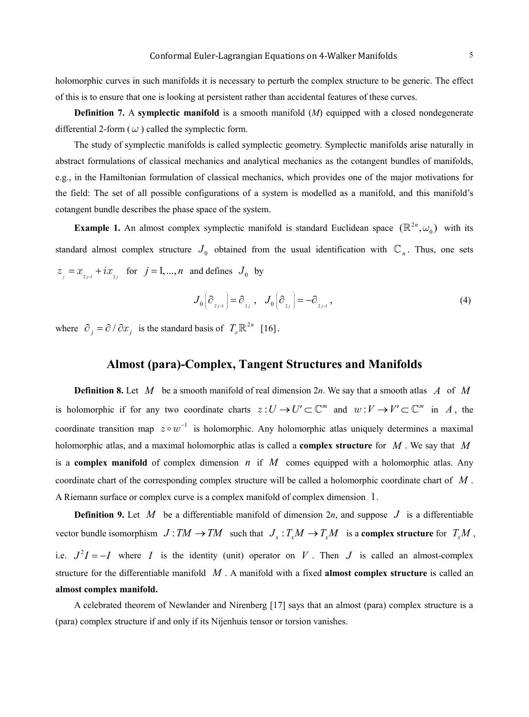holomorphic curves in such manifolds it is necessary to perturb the complex structure to be generic. The effect of this is to ensure that one is looking at persistent rather than accidental features of these curves.

**Definition 7.** A **symplectic manifold** is a smooth manifold (*M*) equipped with a closed nondegenerate differential 2-form ( $\omega$ ) called the symplectic form.

The study of symplectic manifolds is called symplectic geometry. Symplectic manifolds arise naturally in abstract formulations of classical mechanics and analytical mechanics as the cotangent bundles of manifolds, e.g., in the Hamiltonian formulation of classical mechanics, which provides one of the major motivations for the field: The set of all possible configurations of a system is modelled as a manifold, and this manifold's cotangent bundle describes the phase space of the system.

**Example 1.** An almost complex symplectic manifold is standard Euclidean space  $(\mathbb{R}^{2n}, \omega_0)$  with its standard almost complex structure  $J_0$  obtained from the usual identification with  $\mathbb{C}_n$ . Thus, one sets  $z_1 = x_{n+1} + ix_n$  for  $j = 1, ..., n$  and defines  $J_0$  by

$$
J_0\Big(\partial_{z_{j-1}}\Big) = \partial_{z_j} , \quad J_0\Big(\partial_{z_j}\Big) = -\partial_{z_{j-1}} , \tag{4}
$$

where  $\partial_i = \partial / \partial x_i$  is the standard basis of  $T_x \mathbb{R}^{2n}$  [16].

#### **Almost (para)-Complex, Tangent Structures and Manifolds**

**Definition 8.** Let *M* be a smooth manifold of real dimension 2*n*. We say that a smooth atlas *A* of *M* is holomorphic if for any two coordinate charts  $z: U \to U' \subset \mathbb{C}^m$  and  $w: V \to V' \subset \mathbb{C}^m$  in *A*, the coordinate transition map  $z \circ w^{-1}$  is holomorphic. Any holomorphic atlas uniquely determines a maximal holomorphic atlas, and a maximal holomorphic atlas is called a **complex structure** for *M* . We say that *M* is a **complex manifold** of complex dimension *n* if *M* comes equipped with a holomorphic atlas. Any coordinate chart of the corresponding complex structure will be called a holomorphic coordinate chart of *M* . A Riemann surface or complex curve is a complex manifold of complex dimension 1.

**Definition 9.** Let M be a differentiable manifold of dimension 2*n*, and suppose J is a differentiable vector bundle isomorphism  $J: TM \to TM$  such that  $J_x: T_xM \to T_xM$  is a **complex structure** for  $T_xM$ , i.e.  $J^2I = -I$  where *I* is the identity (unit) operator on *V*. Then *J* is called an almost-complex structure for the differentiable manifold *M* . A manifold with a fixed **almost complex structure** is called an **almost complex manifold.**

A celebrated theorem of Newlander and Nirenberg [17] says that an almost (para) complex structure is a (para) complex structure if and only if its Nijenhuis tensor or torsion vanishes.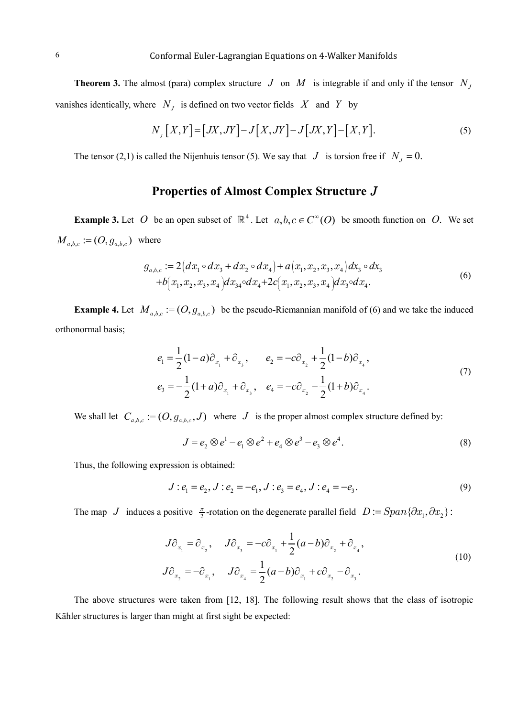**Theorem 3.** The almost (para) complex structure  $J$  on  $M$  is integrable if and only if the tensor  $N<sub>J</sub>$ vanishes identically, where  $N<sub>J</sub>$  is defined on two vector fields  $X$  and  $Y$  by

$$
N_{J}[X,Y] = [JX,JY] - J[X,JY] - J[JX,Y] - [X,Y].
$$
\n<sup>(5)</sup>

The tensor (2,1) is called the Nijenhuis tensor (5). We say that  $J$  is torsion free if  $N_J = 0$ .

# **Properties of Almost Complex Structure**

**Example 3.** Let *O* be an open subset of  $\mathbb{R}^4$ . Let  $a, b, c \in C^{\infty}(O)$  be smooth function on *O*. We set  $M_{a,b,c} := (O, g_{a,b,c})$  where

$$
g_{a,b,c} := 2\big(dx_1 \circ dx_3 + dx_2 \circ dx_4\big) + a\big(x_1, x_2, x_3, x_4\big)dx_3 \circ dx_3
$$
  
+
$$
b\big(x_1, x_2, x_3, x_4\big)dx_{34} \circ dx_4 + 2c\big(x_1, x_2, x_3, x_4\big)dx_3 \circ dx_4.
$$
 (6)

**Example 4.** Let  $M_{a,b,c} := (O, g_{a,b,c})$  be the pseudo-Riemannian manifold of (6) and we take the induced orthonormal basis;

$$
e_1 = \frac{1}{2}(1-a)\partial_{x_1} + \partial_{x_3}, \qquad e_2 = -c\partial_{x_2} + \frac{1}{2}(1-b)\partial_{x_4},
$$
  
\n
$$
e_3 = -\frac{1}{2}(1+a)\partial_{x_1} + \partial_{x_3}, \quad e_4 = -c\partial_{x_2} - \frac{1}{2}(1+b)\partial_{x_4}.
$$
\n(7)

We shall let  $C_{a,b,c} := (O, g_{a,b,c}, J)$  where *J* is the proper almost complex structure defined by:

$$
J = e2 \otimes e1 - e1 \otimes e2 + e4 \otimes e3 - e3 \otimes e4.
$$
 (8)

Thus, the following expression is obtained:

$$
J: e_1 = e_2, J: e_2 = -e_1, J: e_3 = e_4, J: e_4 = -e_3.
$$
\n(9)

The map *J* induces a positive  $\frac{\pi}{2}$ -rotation on the degenerate parallel field  $D := Span\{\partial x_1, \partial x_2\}$ :

$$
J\partial_{x_1} = \partial_{x_2}, \quad J\partial_{x_3} = -c\partial_{x_1} + \frac{1}{2}(a-b)\partial_{x_2} + \partial_{x_4},
$$
  

$$
J\partial_{x_2} = -\partial_{x_1}, \quad J\partial_{x_4} = \frac{1}{2}(a-b)\partial_{x_1} + c\partial_{x_2} - \partial_{x_3}.
$$
 (10)

The above structures were taken from [12, 18]. The following result shows that the class of isotropic Kähler structures is larger than might at first sight be expected: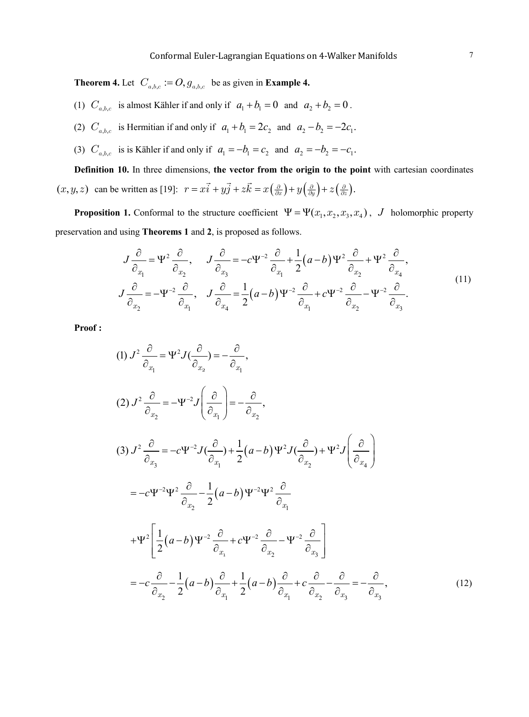**Theorem 4.** Let  $C_{a,b,c} := O, g_{a,b,c}$  be as given in **Example 4.** 

- (1)  $C_{a,b,c}$  is almost Kähler if and only if  $a_1 + b_1 = 0$  and  $a_2 + b_2 = 0$ .
- (2)  $C_{a,b,c}$  is Hermitian if and only if  $a_1 + b_1 = 2c_2$  and  $a_2 b_2 = -2c_1$ .
- (3)  $C_{a,b,c}$  is is Kähler if and only if  $a_1 = -b_1 = c_2$  and  $a_2 = -b_2 = -c_1$ .

**Definition 10.** In three dimensions, **the vector from the origin to the point** with cartesian coordinates  $(x, y, z)$  can be written as [19]:  $r = x\vec{i} + y\vec{j} + z\vec{k} = x(\frac{\partial}{\partial x}) + y(\frac{\partial}{\partial y}) + z(\frac{\partial}{\partial z})$ .

**Proposition 1.** Conformal to the structure coefficient  $\Psi = \Psi(x_1, x_2, x_3, x_4)$ , *J* holomorphic property preservation and using **Theorems 1** and **2**, is proposed as follows.

$$
J\frac{\partial}{\partial_{x_1}} = \Psi^2 \frac{\partial}{\partial_{x_2}}, \quad J\frac{\partial}{\partial_{x_3}} = -c\Psi^{-2} \frac{\partial}{\partial_{x_1}} + \frac{1}{2}(a-b)\Psi^2 \frac{\partial}{\partial_{x_2}} + \Psi^2 \frac{\partial}{\partial_{x_4}},
$$
  

$$
J\frac{\partial}{\partial_{x_2}} = -\Psi^{-2} \frac{\partial}{\partial_{x_1}}, \quad J\frac{\partial}{\partial_{x_4}} = \frac{1}{2}(a-b)\Psi^{-2} \frac{\partial}{\partial_{x_1}} + c\Psi^{-2} \frac{\partial}{\partial_{x_2}} - \Psi^{-2} \frac{\partial}{\partial_{x_3}}.
$$
 (11)

**Proof :**

$$
(1) \ J^{2} \frac{\partial}{\partial_{x_{1}}} = \Psi^{2} J(\frac{\partial}{\partial_{x_{2}}} ) = -\frac{\partial}{\partial_{x_{1}}},
$$
\n
$$
(2) \ J^{2} \frac{\partial}{\partial_{x_{2}}} = -\Psi^{2} J(\frac{\partial}{\partial_{x_{1}}} ) = -\frac{\partial}{\partial_{x_{2}}},
$$
\n
$$
(3) \ J^{2} \frac{\partial}{\partial_{x_{3}}} = -c\Psi^{2} J(\frac{\partial}{\partial_{x_{1}}} ) + \frac{1}{2} (a-b) \Psi^{2} J(\frac{\partial}{\partial_{x_{2}}} ) + \Psi^{2} J(\frac{\partial}{\partial_{x_{4}}} )
$$
\n
$$
= -c\Psi^{2} \Psi^{2} \frac{\partial}{\partial_{x_{2}}} - \frac{1}{2} (a-b) \Psi^{2} \Psi^{2} \frac{\partial}{\partial_{x_{1}}}
$$
\n
$$
+ \Psi^{2} \left[ \frac{1}{2} (a-b) \Psi^{2} \frac{\partial}{\partial_{x_{1}}} + c \Psi^{2} \frac{\partial}{\partial_{x_{2}}} - \Psi^{2} \frac{\partial}{\partial_{x_{3}}} \right]
$$
\n
$$
= -c \frac{\partial}{\partial_{x_{2}}} - \frac{1}{2} (a-b) \frac{\partial}{\partial_{x_{1}}} + \frac{1}{2} (a-b) \frac{\partial}{\partial_{x_{1}}} + c \frac{\partial}{\partial_{x_{2}}} - \frac{\partial}{\partial_{x_{3}}} - \frac{\partial}{\partial_{x_{3}}} - \frac{\partial}{\partial_{x_{3}}},
$$
\n
$$
(12)
$$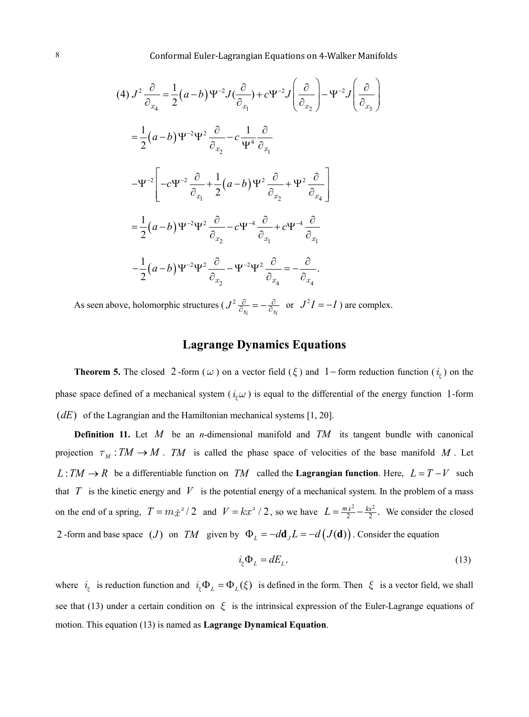$$
(4) \, J^2 \frac{\partial}{\partial_{x_4}} = \frac{1}{2} (a - b) \Psi^{-2} J(\frac{\partial}{\partial_{x_1}}) + c \Psi^{-2} J(\frac{\partial}{\partial_{x_2}}) - \Psi^{-2} J(\frac{\partial}{\partial_{x_3}})
$$
\n
$$
= \frac{1}{2} (a - b) \Psi^{-2} \Psi^2 \frac{\partial}{\partial_{x_2}} - c \frac{1}{\Psi^4} \frac{\partial}{\partial_{x_1}}
$$
\n
$$
- \Psi^{-2} \left[ -c \Psi^{-2} \frac{\partial}{\partial_{x_1}} + \frac{1}{2} (a - b) \Psi^2 \frac{\partial}{\partial_{x_2}} + \Psi^2 \frac{\partial}{\partial_{x_4}} \right]
$$
\n
$$
= \frac{1}{2} (a - b) \Psi^{-2} \Psi^2 \frac{\partial}{\partial_{x_2}} - c \Psi^{-4} \frac{\partial}{\partial_{x_1}} + c \Psi^{-4} \frac{\partial}{\partial_{x_1}}
$$
\n
$$
- \frac{1}{2} (a - b) \Psi^{-2} \Psi^2 \frac{\partial}{\partial_{x_2}} - \Psi^{-2} \Psi^2 \frac{\partial}{\partial_{x_4}} = - \frac{\partial}{\partial_{x_4}}.
$$

As seen above, holomorphic structures ( $J^2 \frac{\partial}{\partial x_i} = -\frac{\partial}{\partial x_i}$  or  $J^2I = -I$ ) are complex.

# **Lagrange Dynamics Equations**

**Theorem 5.** The closed 2 -form ( $\omega$ ) on a vector field ( $\xi$ ) and 1–form reduction function ( $i_{\xi}$ ) on the phase space defined of a mechanical system ( $i<sub>\epsilon</sub> \omega$ ) is equal to the differential of the energy function 1-form  $(dE)$  of the Lagrangian and the Hamiltonian mechanical systems [1, 20].

**Definition 11.** Let *M* be an *n*-dimensional manifold and *TM* its tangent bundle with canonical projection  $\tau_M : TM \to M$ . *TM* is called the phase space of velocities of the base manifold *M*. Let *L* :  $TM$  →  $R$  be a differentiable function on *TM* called the **Lagrangian function**. Here,  $L = T - V$  such that  $T$  is the kinetic energy and  $V$  is the potential energy of a mechanical system. In the problem of a mass on the end of a spring,  $T = m \dot{x}^2 / 2$  and  $V = kx^2 / 2$ , so we have  $L = \frac{m \dot{x}^2}{2} - \frac{kx^2}{2}$ . We consider the closed 2 -form and base space (*J*) on *TM* given by  $\Phi_L = -d\mathbf{d}_J L = -d (J(\mathbf{d}))$ . Consider the equation

$$
i_{\xi} \Phi_L = dE_L. \tag{13}
$$

where  $i_{\xi}$  is reduction function and  $i_{\xi} \Phi_L = \Phi_L(\xi)$  is defined in the form. Then  $\xi$  is a vector field, we shall see that (13) under a certain condition on  $\xi$  is the intrinsical expression of the Euler-Lagrange equations of motion. This equation (13) is named as **Lagrange Dynamical Equation**.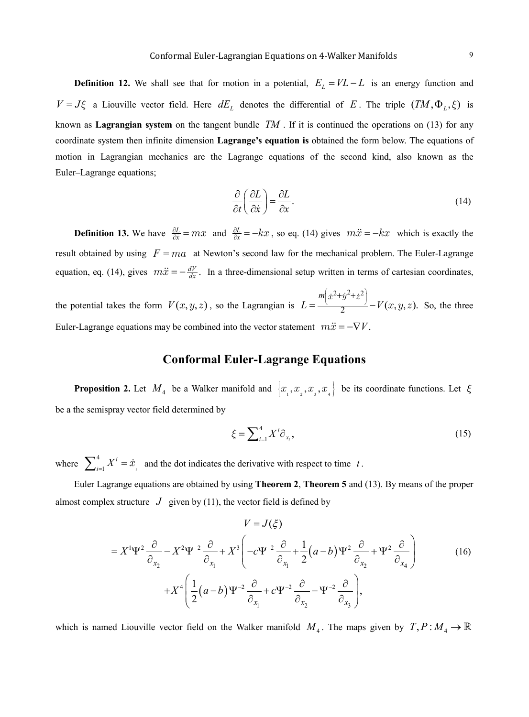**Definition 12.** We shall see that for motion in a potential,  $E_L = V_L - L$  is an energy function and  $V = J\xi$  a Liouville vector field. Here  $dE_L$  denotes the differential of *E*. The triple  $(TM, \Phi_L, \xi)$  is known as **Lagrangian system** on the tangent bundle *TM* . If it is continued the operations on (13) for any coordinate system then infinite dimension **Lagrange's equation is** obtained the form below. The equations of motion in Lagrangian mechanics are the Lagrange equations of the second kind, also known as the Euler–Lagrange equations;

$$
\frac{\partial}{\partial t} \left( \frac{\partial L}{\partial \dot{x}} \right) = \frac{\partial L}{\partial x}.
$$
\n(14)

**Definition 13.** We have  $\frac{\partial L}{\partial \dot{x}}$  $\frac{\partial L}{\partial \dot{x}} = mx$  and  $\frac{\partial L}{\partial x}$  $\frac{\partial L}{\partial x} = -kx$ , so eq. (14) gives  $m\ddot{x} = -kx$  which is exactly the result obtained by using  $F = ma$  at Newton's second law for the mechanical problem. The Euler-Lagrange equation, eq. (14), gives  $m\ddot{x} = -\frac{dV}{dx}$ . In a three-dimensional setup written in terms of cartesian coordinates,

the potential takes the form  $V(x, y, z)$ , so the Lagrangian is  $L = \frac{m(x^2+y^2+z^2)}{2} - V(x,y,z)$  $=\frac{\sqrt{2}}{2}-V(x,y,z).$  $\dot{x}^2 + \dot{y}^2 + \dot{z}$  $(x, y, z)$ . So, the three Euler-Lagrange equations may be combined into the vector statement  $m\ddot{x} = -\nabla V$ .

## **Conformal Euler-Lagrange Equations**

**Proposition 2.** Let  $M_4$  be a Walker manifold and  $\{x_1, x_2, x_3, x_4\}$  be its coordinate functions. Let  $\xi$ be a the semispray vector field determined by

$$
\xi = \sum_{i=1}^{4} X^i \partial_{x_i},\tag{15}
$$

where  $\sum_{i=1}^{4}$ 1 *i i*  $\sum_{i=1}^{4} X^{i} = \dot{x}_{i}$  and the dot indicates the derivative with respect to time *t*.

Euler Lagrange equations are obtained by using **Theorem 2**, **Theorem 5** and (13). By means of the proper almost complex structure  $J$  given by (11), the vector field is defined by

$$
V = J(\xi)
$$
  
=  $X^1 \Psi^2 \frac{\partial}{\partial x_2} - X^2 \Psi^{-2} \frac{\partial}{\partial x_1} + X^3 \left( -c \Psi^{-2} \frac{\partial}{\partial x_1} + \frac{1}{2} (a - b) \Psi^2 \frac{\partial}{\partial x_2} + \Psi^2 \frac{\partial}{\partial x_4} \right)$   
+  $X^4 \left( \frac{1}{2} (a - b) \Psi^{-2} \frac{\partial}{\partial x_1} + c \Psi^{-2} \frac{\partial}{\partial x_2} - \Psi^{-2} \frac{\partial}{\partial x_3} \right)$ , (16)

which is named Liouville vector field on the Walker manifold  $M_4$ . The maps given by  $T, P: M_4 \to \mathbb{R}$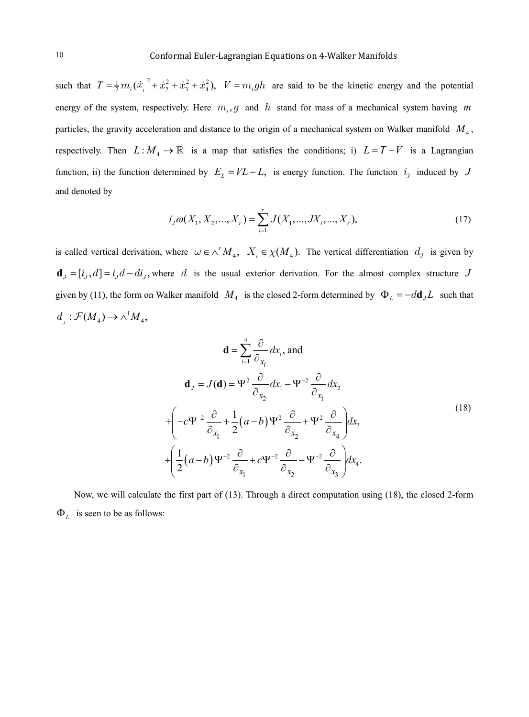such that  $T = \frac{1}{2} m_i (\dot{x}_1^2 + \dot{x}_2^2 + \dot{x}_3^2 + \dot{x}_4^2)$ ,  $V = m_i gh$  are said to be the kinetic energy and the potential energy of the system, respectively. Here  $m_i$ ,  $g$  and  $h$  stand for mass of a mechanical system having  $m$ particles, the gravity acceleration and distance to the origin of a mechanical system on Walker manifold  $M<sub>4</sub>$ , respectively. Then  $L: M_4 \to \mathbb{R}$  is a map that satisfies the conditions; i)  $L = T - V$  is a Lagrangian function, ii) the function determined by  $E_L = V L - L$ , is energy function. The function  $i_j$  induced by *J* and denoted by

$$
i_j \omega(X_1, X_2, ..., X_r) = \sum_{i=1}^r J(X_1, ..., JX_i, ..., X_r),
$$
\n(17)

is called vertical derivation, where  $\omega \in \wedge^r M_4$ ,  $X_i \in \chi(M_4)$ . The vertical differentiation  $d_j$  is given by  $\mathbf{d}_J = [i_J, d] = i_J d - d i_J$ , where d is the usual exterior derivation. For the almost complex structure J given by (11), the form on Walker manifold  $M_4$  is the closed 2-form determined by  $\Phi_L = -d\mathbf{d}_J L$  such that  $d_{j}: \mathcal{F}(M_4) \to \wedge^1 M_4,$ 

$$
\mathbf{d} = \sum_{i=1}^{4} \frac{\partial}{\partial_{x_i}} dx_i, \text{ and}
$$
  
\n
$$
\mathbf{d}_J = J(\mathbf{d}) = \Psi^2 \frac{\partial}{\partial_{x_2}} dx_1 - \Psi^{-2} \frac{\partial}{\partial_{x_1}} dx_2
$$
  
\n
$$
+ \left( -c\Psi^{-2} \frac{\partial}{\partial_{x_1}} + \frac{1}{2} (a - b) \Psi^2 \frac{\partial}{\partial_{x_2}} + \Psi^2 \frac{\partial}{\partial_{x_3}} \right) dx_3
$$
  
\n
$$
+ \left( \frac{1}{2} (a - b) \Psi^{-2} \frac{\partial}{\partial_{x_1}} + c \Psi^{-2} \frac{\partial}{\partial_{x_2}} - \Psi^{-2} \frac{\partial}{\partial_{x_3}} \right) dx_4.
$$
  
\n(18)

Now, we will calculate the first part of (13). Through a direct computation using (18), the closed 2-form Φ*<sup>L</sup>* is seen to be as follows: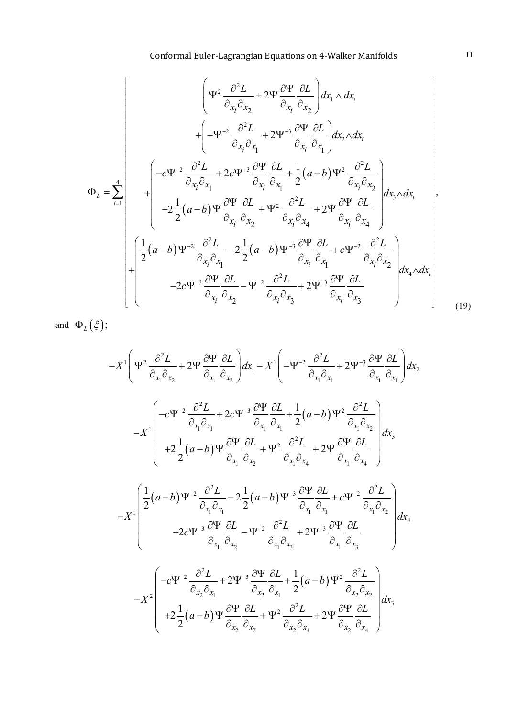$$
\Phi_{L} = \sum_{i=1}^{4} \begin{bmatrix} \Psi^{2} \frac{\partial^{2} L}{\partial x_{i} \partial x_{2}} + 2\Psi \frac{\partial \Psi}{\partial x_{i}} \frac{\partial L}{\partial x_{2}} \frac{\partial L}{\partial x_{1}} \Delta x_{i} \\ + \left( -\Psi^{-2} \frac{\partial^{2} L}{\partial x_{i} \partial x_{1}} + 2\Psi^{-3} \frac{\partial \Psi}{\partial x_{i}} \frac{\partial L}{\partial x_{1}} \frac{\partial L}{\partial x_{1}} \Delta x_{2} \Delta x_{i} \right. \\ + \left( -c\Psi^{-2} \frac{\partial^{2} L}{\partial x_{i} \partial x_{1}} + 2c\Psi^{-3} \frac{\partial \Psi}{\partial x_{i}} \frac{\partial L}{\partial x_{1}} + \frac{1}{2} (a-b) \Psi^{2} \frac{\partial^{2} L}{\partial x_{i} \partial x_{2}} \right. \\ + 2 \frac{1}{2} (a-b) \Psi \frac{\partial \Psi}{\partial x_{i}} \frac{\partial L}{\partial x_{2}} + \Psi^{2} \frac{\partial^{2} L}{\partial x_{i} \partial x_{4}} + 2\Psi \frac{\partial \Psi}{\partial x_{i}} \frac{\partial L}{\partial x_{4}} \right], \\ + \begin{bmatrix} \frac{1}{2} (a-b) \Psi^{-2} \frac{\partial^{2} L}{\partial x_{i} \partial x_{1}} - 2 \frac{1}{2} (a-b) \Psi^{-3} \frac{\partial \Psi}{\partial x_{i}} \frac{\partial L}{\partial x_{1}} + c \Psi^{-2} \frac{\partial^{2} L}{\partial x_{i} \partial x_{2}} \right. \\ - 2c \Psi^{-3} \frac{\partial \Psi}{\partial x_{i}} \frac{\partial L}{\partial x_{2}} - \Psi^{-2} \frac{\partial^{2} L}{\partial x_{i} \partial x_{3}} + 2 \Psi^{-3} \frac{\partial \Psi}{\partial x_{i}} \frac{\partial L}{\partial x_{3}} \end{bmatrix} dx_{4} \Delta x_{i} \right]
$$
(19)

and  $\Phi_L(\xi)$ ;

$$
-X^{1}\left(\Psi^{2}\frac{\partial^{2}L}{\partial_{x_{1}}\partial_{x_{2}}}+2\Psi\frac{\partial\Psi}{\partial_{x_{1}}}\frac{\partial L}{\partial_{x_{2}}}\right)dx_{1}-X^{1}\left(-\Psi^{-2}\frac{\partial^{2}L}{\partial_{x_{1}}\partial_{x_{1}}}+2\Psi^{-3}\frac{\partial\Psi}{\partial_{x_{1}}}\frac{\partial L}{\partial_{x_{1}}}\right)dx_{2}
$$

$$
-X^{1}\left(\frac{-c\Psi^{-2}\frac{\partial^{2}L}{\partial_{x_{1}}\partial_{x_{1}}}+2c\Psi^{-3}\frac{\partial\Psi}{\partial_{x_{1}}}\frac{\partial L}{\partial_{x_{1}}}+\frac{1}{2}(a-b)\Psi^{2}\frac{\partial^{2}L}{\partial_{x_{1}}\partial_{x_{2}}}\right)dx_{3}
$$

$$
+2\frac{1}{2}(a-b)\Psi\frac{\partial\Psi}{\partial_{x_{1}}}\frac{\partial L}{\partial_{x_{2}}}+\Psi^{2}\frac{\partial^{2}L}{\partial_{x_{1}}\partial_{x_{4}}}+2\Psi\frac{\partial\Psi}{\partial_{x_{1}}}\frac{\partial L}{\partial_{x_{4}}}\right)dx_{3}
$$

$$
-X^{1}\left(\frac{1}{2}(a-b)\Psi^{-2}\frac{\partial^{2}L}{\partial_{x_{1}}\partial_{x_{1}}}+2\frac{1}{2}(a-b)\Psi^{-3}\frac{\partial \Psi}{\partial_{x_{1}}}\frac{\partial L}{\partial_{x_{1}}}+c\Psi^{-2}\frac{\partial^{2}L}{\partial_{x_{1}}\partial_{x_{2}}}\right)dx_{4}
$$

$$
-2c\Psi^{-3}\frac{\partial \Psi}{\partial_{x_{1}}}\frac{\partial L}{\partial_{x_{2}}}-\Psi^{-2}\frac{\partial^{2}L}{\partial_{x_{1}}\partial_{x_{3}}}+2\Psi^{-3}\frac{\partial \Psi}{\partial_{x_{1}}}\frac{\partial L}{\partial_{x_{3}}}
$$

$$
-X^{2}\left(\frac{-c\Psi^{-2}\frac{\partial^{2}L}{\partial_{x_{2}}\partial_{x_{1}}}+2\Psi^{-3}\frac{\partial \Psi}{\partial_{x_{2}}}\frac{\partial L}{\partial_{x_{1}}}+\frac{1}{2}(a-b)\Psi^{2}\frac{\partial^{2}L}{\partial_{x_{2}}\partial_{x_{2}}}\right)dx_{3}
$$

$$
+2\frac{1}{2}(a-b)\Psi\frac{\partial \Psi}{\partial_{x_{
$$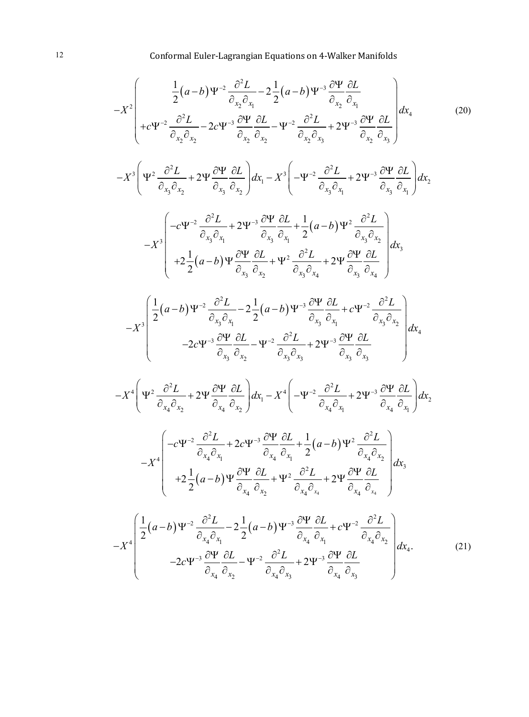$$
-X^{2}\left(-\frac{1}{2}(a-b) \Psi^{-2} \frac{\partial^{2} L}{\partial_{x_{2}} \partial_{x_{1}}} - 2\frac{1}{2}(a-b) \Psi^{-3} \frac{\partial \Psi}{\partial_{x_{2}} \partial_{x_{1}}} \frac{\partial L}{\partial_{x_{1}}} - 2\frac{1}{2}(a-b) \Psi^{-3} \frac{\partial \Psi}{\partial_{x_{2}} \partial_{x_{1}}} \frac{\partial L}{\partial_{x_{1}}} - 2\frac{\partial^{2} L}{\partial_{x_{2}} \partial_{x_{2}}} - 2\frac{\partial^{2} L}{\partial_{x_{2}} \partial_{x_{2}}} - \frac{\partial^{2} L}{\partial_{x_{2}} \partial_{x_{2}}} + 2\Psi^{3} \frac{\partial \Psi}{\partial_{x_{2}} \partial_{x_{2}}} \frac{\partial L}{\partial_{x_{2}}} \frac{\partial L}{\partial_{x_{2}}} \frac{\partial L}{\partial_{x_{2}}} \frac{\partial L}{\partial_{x_{2}}} \frac{\partial L}{\partial_{x_{2}}} \frac{\partial L}{\partial_{x_{2}}} \frac{\partial L}{\partial_{x_{2}}} \frac{\partial L}{\partial_{x_{2}}} \frac{\partial L}{\partial_{x_{2}}} \frac{\partial L}{\partial_{x_{1}}} \frac{\partial L}{\partial_{x_{2}}} \frac{\partial L}{\partial_{x_{1}}} \frac{\partial L}{\partial_{x_{2}}} \frac{\partial L}{\partial_{x_{1}}} \frac{\partial L}{\partial_{x_{2}}} \frac{\partial L}{\partial_{x_{1}}} + 2\Psi^{3} \frac{\partial \Psi}{\partial_{x_{2}} \partial_{x_{2}}} \frac{\partial L}{\partial_{x_{1}}} \frac{\partial L}{\partial_{x_{1}}} \frac{\partial L}{\partial_{x_{2}}} \frac{\partial L}{\partial_{x_{2}}} \frac{\partial L}{\partial_{x_{2}}} \frac{\partial L}{\partial_{x_{2}}} \frac{\partial L}{\partial_{x_{2}}} \frac{\partial L}{\partial_{x_{2}}} \frac{\partial L}{\partial_{x_{2}}} \frac{\partial L}{\partial_{x_{2}}} \frac{\partial L}{\partial_{x_{2}}} \frac{\partial L}{\partial_{x_{2}}} \frac{\partial L}{\partial_{x_{2}}} \frac{\partial L}{\partial_{x_{2}}} \frac{\partial L}{\partial_{x_{2}}} \frac{\partial L}{\partial_{x_{2}}} \frac{\partial L}{\partial_{x_{2}}} \frac{\partial L}{\partial_{x_{2}}} \frac{\partial L}{\partial_{x_{2}}} \frac{\partial L}{\partial_{x_{2}}} \frac{\partial L}{\partial
$$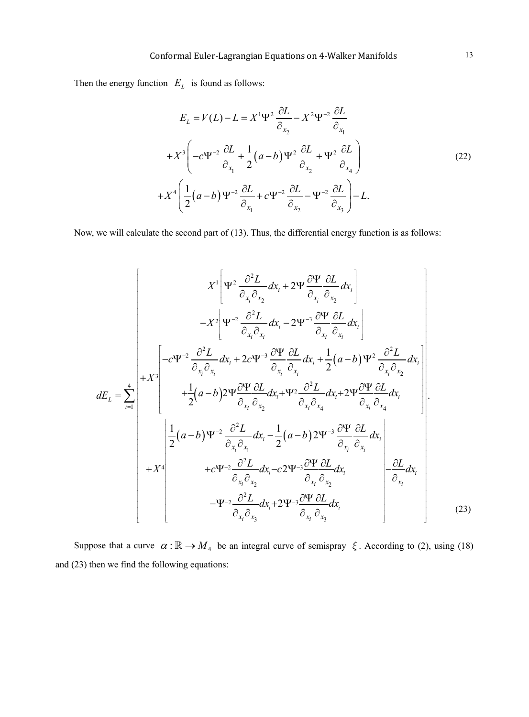Then the energy function  $E_L$  is found as follows:

$$
E_L = V(L) - L = X^1 \Psi^2 \frac{\partial L}{\partial_{x_2}} - X^2 \Psi^{-2} \frac{\partial L}{\partial_{x_1}}
$$
  
+ 
$$
X^3 \left( -c \Psi^{-2} \frac{\partial L}{\partial_{x_1}} + \frac{1}{2} (a - b) \Psi^2 \frac{\partial L}{\partial_{x_2}} + \Psi^2 \frac{\partial L}{\partial_{x_4}} \right)
$$
  
+ 
$$
X^4 \left( \frac{1}{2} (a - b) \Psi^{-2} \frac{\partial L}{\partial_{x_1}} + c \Psi^{-2} \frac{\partial L}{\partial_{x_2}} - \Psi^{-2} \frac{\partial L}{\partial_{x_3}} \right) - L.
$$
 (22)

Now, we will calculate the second part of (13). Thus, the differential energy function is as follows:

$$
X^{1}\left[\Psi^{2}\frac{\partial^{2}L}{\partial_{x_{i}}\partial_{x_{2}}}dx_{i} + 2\Psi\frac{\partial\Psi}{\partial_{x_{i}}}\frac{\partial L}{\partial_{x_{2}}}\frac{dx_{i}}{\partial_{x_{i}}}\right]
$$
\n
$$
-X^{2}\left[\Psi^{-2}\frac{\partial^{2}L}{\partial_{x_{i}}\partial_{x_{i}}}dx_{i} - 2\Psi^{-3}\frac{\partial\Psi}{\partial_{x_{i}}}\frac{\partial L}{\partial_{x_{i}}}\frac{dx_{i}}{\partial_{x_{i}}}\right]
$$
\n
$$
dE_{L} = \sum_{i=1}^{4} \begin{pmatrix} -c\Psi^{-2}\frac{\partial^{2}L}{\partial_{x_{i}}\partial_{x_{i}}}dx_{i} + 2c\Psi^{-3}\frac{\partial\Psi}{\partial_{x_{i}}}\frac{\partial L}{\partial_{x_{i}}}\frac{dx_{i}}{\partial_{x_{i}}} + \frac{1}{2}(a-b)\Psi^{2}\frac{\partial^{2}L}{\partial_{x_{i}}\partial_{x_{2}}}\frac{dx_{i}}{\partial_{x_{i}}}\frac{dx_{i}}{\partial_{x_{i}}}\frac{dx_{i}}{\partial_{x_{i}}}\frac{dx_{i}}{\partial_{x_{i}}}\frac{dx_{i}}{\partial_{x_{i}}}\frac{dx_{i}}{\partial_{x_{i}}}\frac{dx_{i}}{\partial_{x_{i}}}\frac{dx_{i}}{\partial_{x_{i}}}\frac{dx_{i}}{\partial_{x_{i}}}\frac{dx_{i}}{\partial_{x_{i}}}\frac{dx_{i}}{\partial_{x_{i}}}\frac{dx_{i}}{\partial_{x_{i}}}\frac{dx_{i}}{\partial_{x_{i}}}\frac{dx_{i}}{\partial_{x_{i}}}\frac{dx_{i}}{\partial_{x_{i}}}\frac{dx_{i}}{\partial_{x_{i}}}\frac{dx_{i}}{\partial_{x_{i}}}\frac{dx_{i}}{\partial_{x_{i}}}\frac{dx_{i}}{\partial_{x_{i}}}\frac{dx_{i}}{\partial_{x_{i}}}\frac{dx_{i}}{\partial_{x_{i}}}\frac{dx_{i}}{\partial_{x_{i}}}\frac{dx_{i}}{\partial_{x_{i}}}\frac{dx_{i}}{\partial_{x_{i}}}\frac{dx_{i}}{\partial_{x_{i}}}\frac{dx_{i}}{\partial_{x_{i}}}\frac{dx_{i}}{\partial_{x_{i}}}\frac{dx_{i}}{\partial_{x_{i}}}\frac{dx_{i}}{\partial_{x_{i}}}\frac{dx_{i}}{\partial_{x_{i}}}\frac{dx_{i}}
$$

Suppose that a curve  $\alpha : \mathbb{R} \to M_4$  be an integral curve of semispray  $\xi$ . According to (2), using (18) and (23) then we find the following equations: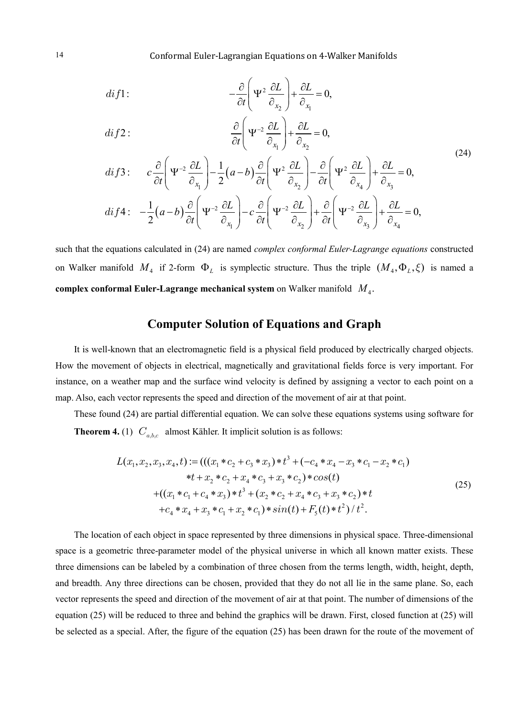$$
di f1: \qquad -\frac{\partial}{\partial t} \left( \Psi^2 \frac{\partial L}{\partial_{x_2}} \right) + \frac{\partial L}{\partial_{x_1}} = 0,
$$

$$
di f 2: \qquad \qquad \frac{\partial}{\partial t} \left( \Psi^{-2} \frac{\partial L}{\partial_{x_1}} \right) + \frac{\partial L}{\partial_{x_2}} = 0,
$$

$$
di f3: \t c \frac{\partial}{\partial t} \left( \Psi^{-2} \frac{\partial L}{\partial_{x_1}} \right) - \frac{1}{2} (a - b) \frac{\partial}{\partial t} \left( \Psi^{2} \frac{\partial L}{\partial_{x_2}} \right) - \frac{\partial}{\partial t} \left( \Psi^{2} \frac{\partial L}{\partial_{x_4}} \right) + \frac{\partial L}{\partial_{x_3}} = 0,
$$
  

$$
di f4: \t - \frac{1}{2} (a - b) \frac{\partial}{\partial t} \left( \Psi^{-2} \frac{\partial L}{\partial_{x_1}} \right) - c \frac{\partial}{\partial t} \left( \Psi^{-2} \frac{\partial L}{\partial_{x_2}} \right) + \frac{\partial}{\partial t} \left( \Psi^{-2} \frac{\partial L}{\partial_{x_3}} \right) + \frac{\partial L}{\partial_{x_4}} = 0,
$$
\n(24)

such that the equations calculated in (24) are named *complex conformal Euler-Lagrange equations* constructed on Walker manifold  $M_4$  if 2-form  $\Phi_L$  is symplectic structure. Thus the triple  $(M_4, \Phi_L, \xi)$  is named a **complex conformal Euler-Lagrange mechanical system** on Walker manifold *M*<sup>4</sup> .

# **Computer Solution of Equations and Graph**

It is well-known that an electromagnetic field is a physical field produced by electrically charged objects. How the movement of objects in electrical, magnetically and gravitational fields force is very important. For instance, on a weather map and the surface wind velocity is defined by assigning a vector to each point on a map. Also, each vector represents the speed and direction of the movement of air at that point.

These found (24) are partial differential equation. We can solve these equations systems using software for **Theorem 4.** (1)  $C_{a,b,c}$  almost Kähler. It implicit solution is as follows:

$$
L(x_1, x_2, x_3, x_4, t) := (((x_1 * c_2 + c_3 * x_3) * t^3 + (-c_4 * x_4 - x_3 * c_1 - x_2 * c_1)
$$
  
\n
$$
*t + x_2 * c_2 + x_4 * c_3 + x_3 * c_2) * cos(t)
$$
  
\n
$$
+ ((x_1 * c_1 + c_4 * x_3) * t^3 + (x_2 * c_2 + x_4 * c_3 + x_3 * c_2) * t
$$
  
\n
$$
+c_4 * x_4 + x_3 * c_1 + x_2 * c_1) * sin(t) + F_5(t) * t^2) / t^2.
$$
\n(25)

The location of each object in space represented by three dimensions in physical space. Three-dimensional space is a geometric three-parameter model of the physical universe in which all known matter exists. These three dimensions can be labeled by a combination of three chosen from the terms length, width, height, depth, and breadth. Any three directions can be chosen, provided that they do not all lie in the same plane. So, each vector represents the speed and direction of the movement of air at that point. The number of dimensions of the equation (25) will be reduced to three and behind the graphics will be drawn. First, closed function at (25) will be selected as a special. After, the figure of the equation (25) has been drawn for the route of the movement of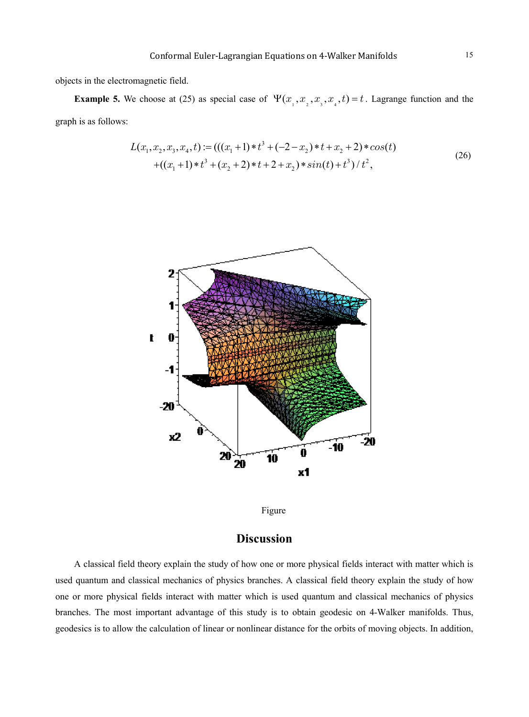objects in the electromagnetic field.

**Example 5.** We choose at (25) as special case of  $\Psi(x_1, x_2, x_3, x_4, t) = t$ . Lagrange function and the graph is as follows:

$$
L(x_1, x_2, x_3, x_4, t) := (((x_1 + 1) * t^3 + (-2 - x_2) * t + x_2 + 2) * cos(t)
$$
  
+((x\_1 + 1) \* t^3 + (x\_2 + 2) \* t + 2 + x\_2) \* sin(t) + t^3) / t^2, (26)





# **Discussion**

A classical field theory explain the study of how one or more physical fields interact with matter which is used quantum and classical mechanics of physics branches. A classical field theory explain the study of how one or more physical fields interact with matter which is used quantum and classical mechanics of physics branches. The most important advantage of this study is to obtain geodesic on 4-Walker manifolds. Thus, geodesics is to allow the calculation of linear or nonlinear distance for the orbits of moving objects. In addition,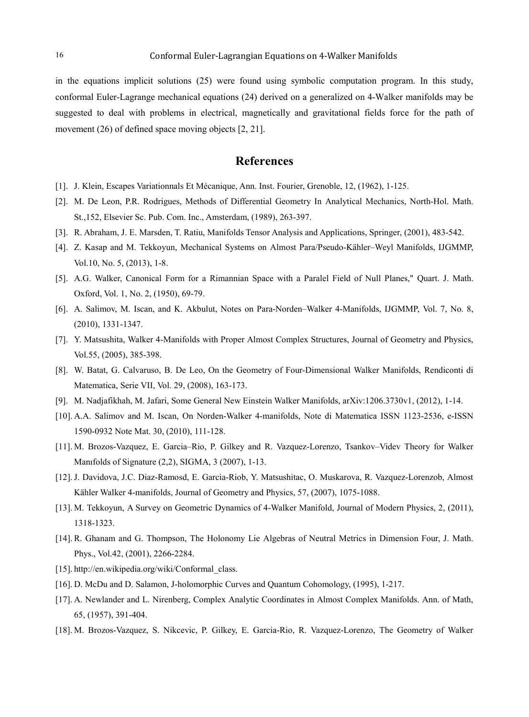in the equations implicit solutions (25) were found using symbolic computation program. In this study, conformal Euler-Lagrange mechanical equations (24) derived on a generalized on 4-Walker manifolds may be suggested to deal with problems in electrical, magnetically and gravitational fields force for the path of movement (26) of defined space moving objects [2, 21].

#### **References**

- [1]. J. Klein, Escapes Variationnals Et Mécanique, Ann. Inst. Fourier, Grenoble, 12, (1962), 1-125.
- [2]. M. De Leon, P.R. Rodrigues, Methods of Differential Geometry In Analytical Mechanics, North-Hol. Math. St.,152, Elsevier Sc. Pub. Com. Inc., Amsterdam, (1989), 263-397.
- [3]. R. Abraham, J. E. Marsden, T. Ratiu, Manifolds Tensor Analysis and Applications, Springer, (2001), 483-542.
- [4]. Z. Kasap and M. Tekkoyun, Mechanical Systems on Almost Para/Pseudo-Kähler–Weyl Manifolds, IJGMMP, Vol.10, No. 5, (2013), 1-8.
- [5]. A.G. Walker, Canonical Form for a Rimannian Space with a Paralel Field of Null Planes," Quart. J. Math. Oxford, Vol. 1, No. 2, (1950), 69-79.
- [6]. A. Salimov, M. Iscan, and K. Akbulut, Notes on Para-Norden–Walker 4-Manifolds, IJGMMP, Vol. 7, No. 8, (2010), 1331-1347.
- [7]. Y. Matsushita, Walker 4-Manifolds with Proper Almost Complex Structures, Journal of Geometry and Physics, Vol.55, (2005), 385-398.
- [8]. W. Batat, G. Calvaruso, B. De Leo, On the Geometry of Four-Dimensional Walker Manifolds, Rendiconti di Matematica, Serie VII, Vol. 29, (2008), 163-173.
- [9]. M. Nadjafikhah, M. Jafari, Some General New Einstein Walker Manifolds, arXiv:1206.3730v1, (2012), 1-14.
- [10]. A.A. Salimov and M. Iscan, On Norden-Walker 4-manifolds, Note di Matematica ISSN 1123-2536, e-ISSN 1590-0932 Note Mat. 30, (2010), 111-128.
- [11]. M. Brozos-Vazquez, E. Garcia–Rio, P. Gilkey and R. Vazquez-Lorenzo, Tsankov–Videv Theory for Walker Manıfolds of Signature (2,2), SIGMA, 3 (2007), 1-13.
- [12].J. Davidova, J.C. Diaz-Ramosd, E. Garcia-Riob, Y. Matsushitac, O. Muskarova, R. Vazquez-Lorenzob, Almost Kähler Walker 4-manifolds, Journal of Geometry and Physics, 57, (2007), 1075-1088.
- [13]. M. Tekkoyun, A Survey on Geometric Dynamics of 4-Walker Manifold, Journal of Modern Physics, 2, (2011), 1318-1323.
- [14]. R. Ghanam and G. Thompson, The Holonomy Lie Algebras of Neutral Metrics in Dimension Four, J. Math. Phys., Vol.42, (2001), 2266-2284.
- [15]. http://en.wikipedia.org/wiki/Conformal\_class.
- [16]. D. McDu and D. Salamon, J-holomorphic Curves and Quantum Cohomology, (1995), 1-217.
- [17]. A. Newlander and L. Nirenberg, Complex Analytic Coordinates in Almost Complex Manifolds. Ann. of Math, 65, (1957), 391-404.
- [18]. M. Brozos-Vazquez, S. Nikcevic, P. Gilkey, E. Garcia-Rio, R. Vazquez-Lorenzo, The Geometry of Walker